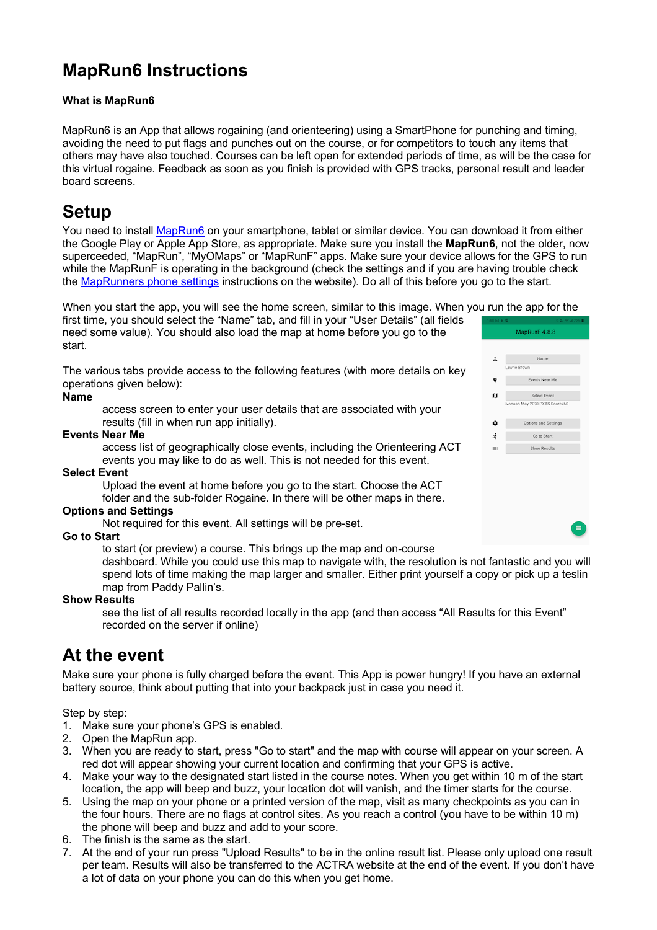## **MapRun6 Instructions**

#### **What is MapRun6**

MapRun6 is an App that allows rogaining (and orienteering) using a SmartPhone for punching and timing, avoiding the need to put flags and punches out on the course, or for competitors to touch any items that others may have also touched. Courses can be left open for extended periods of time, as will be the case for this virtual rogaine. Feedback as soon as you finish is provided with GPS tracks, personal result and leader board screens.

### **Setup**

You need to install MapRun6 on your smartphone, tablet or similar device. You can download it from either the Google Play or Apple App Store, as appropriate. Make sure you install the **MapRun6**, not the older, now superceeded, "MapRun", "MyOMaps" or "MapRunF" apps. Make sure your device allows for the GPS to run while the MapRunF is operating in the background (check the settings and if you are having trouble check the MapRunners phone settings instructions on the website). Do all of this before you go to the start.

When you start the app, you will see the home screen, similar to this image. When you run the app for the

first time, you should select the "Name" tab, and fill in your "User Details" (all fields need some value). You should also load the map at home before you go to the start.

The various tabs provide access to the following features (with more details on key operations given below):

#### **Name**

access screen to enter your user details that are associated with your results (fill in when run app initially).

#### **Events Near Me**

access list of geographically close events, including the Orienteering ACT events you may like to do as well. This is not needed for this event.

#### **Select Event**

Upload the event at home before you go to the start. Choose the ACT folder and the sub-folder Rogaine. In there will be other maps in there.

#### **Options and Settings**

Not required for this event. All settings will be pre-set.

#### **Go to Start**

to start (or preview) a course. This brings up the map and on-course

dashboard. While you could use this map to navigate with, the resolution is not fantastic and you will spend lots of time making the map larger and smaller. Either print yourself a copy or pick up a teslin map from Paddy Pallin's.

#### **Show Results**

see the list of all results recorded locally in the app (and then access "All Results for this Event" recorded on the server if online)

### **At the event**

Make sure your phone is fully charged before the event. This App is power hungry! If you have an external battery source, think about putting that into your backpack just in case you need it.

Step by step:

- 1. Make sure your phone's GPS is enabled.
- 2. Open the MapRun app.
- 3. When you are ready to start, press "Go to start" and the map with course will appear on your screen. A red dot will appear showing your current location and confirming that your GPS is active.
- 4. Make your way to the designated start listed in the course notes. When you get within 10 m of the start location, the app will beep and buzz, your location dot will vanish, and the timer starts for the course.
- 5. Using the map on your phone or a printed version of the map, visit as many checkpoints as you can in the four hours. There are no flags at control sites. As you reach a control (you have to be within 10 m) the phone will beep and buzz and add to your score.
- 6. The finish is the same as the start.
- 7. At the end of your run press "Upload Results" to be in the online result list. Please only upload one result per team. Results will also be transferred to the ACTRA website at the end of the event. If you don't have a lot of data on your phone you can do this when you get home.